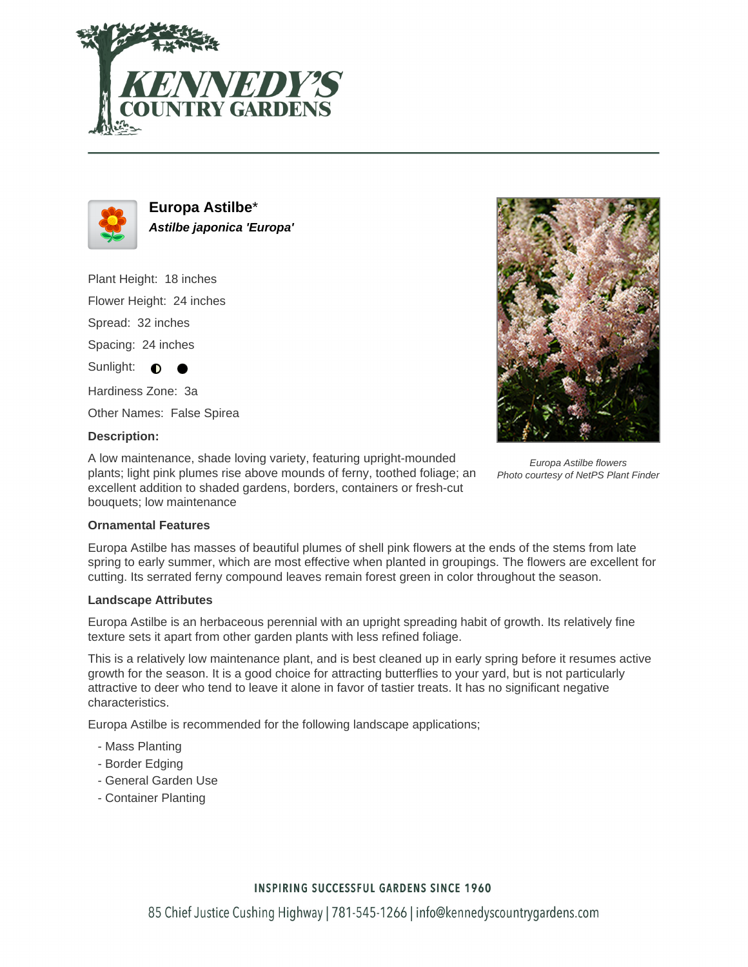



**Europa Astilbe**\* **Astilbe japonica 'Europa'**

Plant Height: 18 inches Flower Height: 24 inches Spread: 32 inches Spacing: 24 inches Sunlight:  $\bigcirc$ 

Hardiness Zone: 3a

Other Names: False Spirea

## **Description:**

A low maintenance, shade loving variety, featuring upright-mounded plants; light pink plumes rise above mounds of ferny, toothed foliage; an excellent addition to shaded gardens, borders, containers or fresh-cut bouquets; low maintenance



Europa Astilbe flowers Photo courtesy of NetPS Plant Finder

## **Ornamental Features**

Europa Astilbe has masses of beautiful plumes of shell pink flowers at the ends of the stems from late spring to early summer, which are most effective when planted in groupings. The flowers are excellent for cutting. Its serrated ferny compound leaves remain forest green in color throughout the season.

#### **Landscape Attributes**

Europa Astilbe is an herbaceous perennial with an upright spreading habit of growth. Its relatively fine texture sets it apart from other garden plants with less refined foliage.

This is a relatively low maintenance plant, and is best cleaned up in early spring before it resumes active growth for the season. It is a good choice for attracting butterflies to your yard, but is not particularly attractive to deer who tend to leave it alone in favor of tastier treats. It has no significant negative characteristics.

Europa Astilbe is recommended for the following landscape applications;

- Mass Planting
- Border Edging
- General Garden Use
- Container Planting

## **INSPIRING SUCCESSFUL GARDENS SINCE 1960**